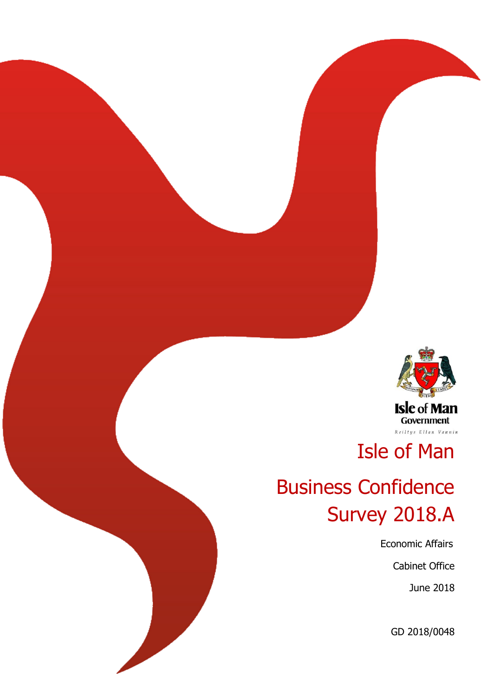

# Isle of Man

# Business Confidence Survey 2018.A

Economic Affairs

Cabinet Office

June 2018

GD 2018/0048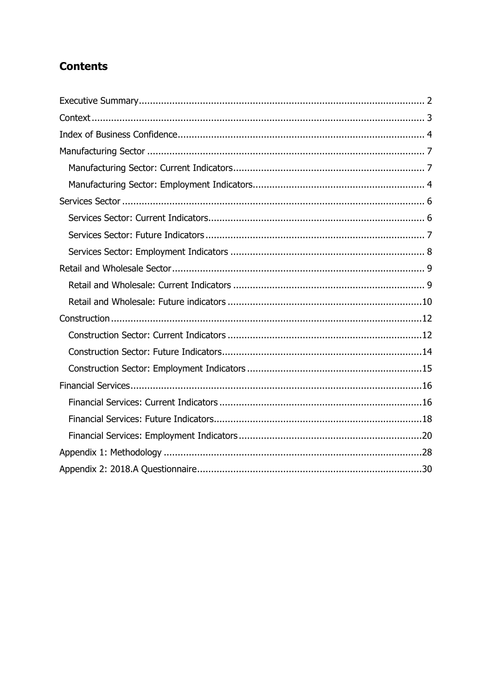## **Contents**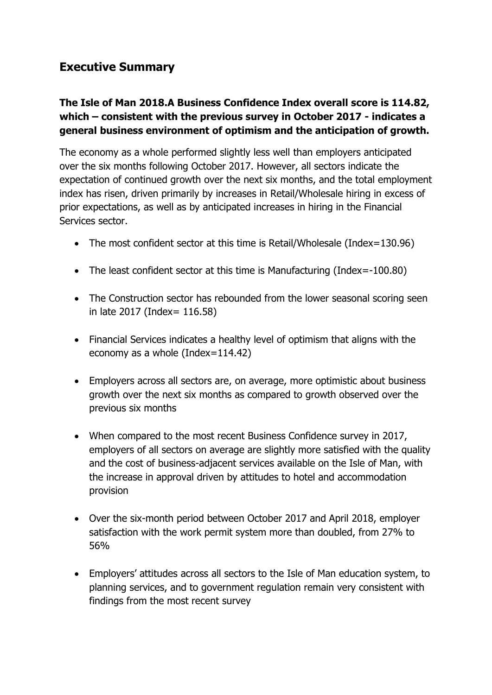## <span id="page-2-0"></span>**Executive Summary**

### **The Isle of Man 2018.A Business Confidence Index overall score is 114.82, which – consistent with the previous survey in October 2017 - indicates a general business environment of optimism and the anticipation of growth.**

The economy as a whole performed slightly less well than employers anticipated over the six months following October 2017. However, all sectors indicate the expectation of continued growth over the next six months, and the total employment index has risen, driven primarily by increases in Retail/Wholesale hiring in excess of prior expectations, as well as by anticipated increases in hiring in the Financial Services sector.

- The most confident sector at this time is Retail/Wholesale (Index=130.96)
- The least confident sector at this time is Manufacturing (Index=-100.80)
- The Construction sector has rebounded from the lower seasonal scoring seen in late 2017 (Index= 116.58)
- Financial Services indicates a healthy level of optimism that aligns with the economy as a whole (Index=114.42)
- Employers across all sectors are, on average, more optimistic about business growth over the next six months as compared to growth observed over the previous six months
- When compared to the most recent Business Confidence survey in 2017, employers of all sectors on average are slightly more satisfied with the quality and the cost of business-adjacent services available on the Isle of Man, with the increase in approval driven by attitudes to hotel and accommodation provision
- Over the six-month period between October 2017 and April 2018, employer satisfaction with the work permit system more than doubled, from 27% to 56%
- Employers' attitudes across all sectors to the Isle of Man education system, to planning services, and to government regulation remain very consistent with findings from the most recent survey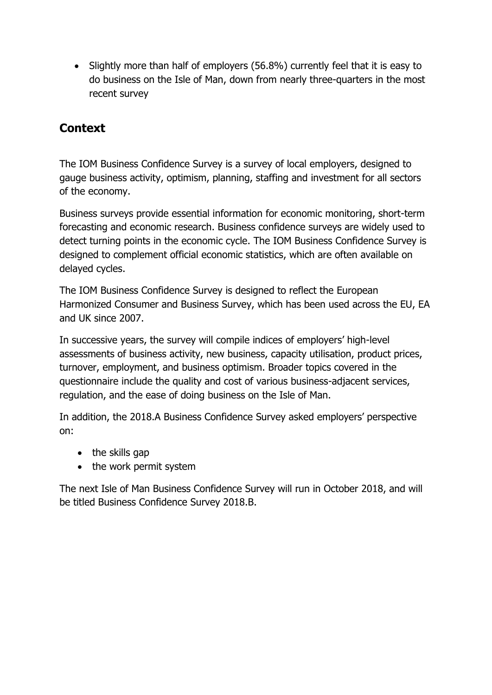• Slightly more than half of employers (56.8%) currently feel that it is easy to do business on the Isle of Man, down from nearly three-quarters in the most recent survey

## <span id="page-3-0"></span>**Context**

The IOM Business Confidence Survey is a survey of local employers, designed to gauge business activity, optimism, planning, staffing and investment for all sectors of the economy.

Business surveys provide essential information for economic monitoring, short-term forecasting and economic research. Business confidence surveys are widely used to detect turning points in the economic cycle. The IOM Business Confidence Survey is designed to complement official economic statistics, which are often available on delayed cycles.

The IOM Business Confidence Survey is designed to reflect the European Harmonized Consumer and Business Survey, which has been used across the EU, EA and UK since 2007.

In successive years, the survey will compile indices of employers' high-level assessments of business activity, new business, capacity utilisation, product prices, turnover, employment, and business optimism. Broader topics covered in the questionnaire include the quality and cost of various business-adjacent services, regulation, and the ease of doing business on the Isle of Man.

In addition, the 2018.A Business Confidence Survey asked employers' perspective on:

- $\bullet$  the skills gap
- the work permit system

The next Isle of Man Business Confidence Survey will run in October 2018, and will be titled Business Confidence Survey 2018.B.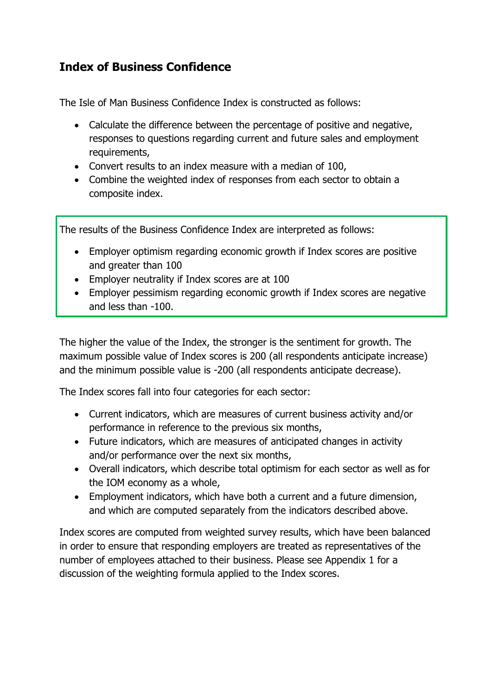## <span id="page-4-0"></span>**Index of Business Confidence**

The Isle of Man Business Confidence Index is constructed as follows:

- Calculate the difference between the percentage of positive and negative, responses to questions regarding current and future sales and employment requirements,
- Convert results to an index measure with a median of 100,
- Combine the weighted index of responses from each sector to obtain a composite index.

The results of the Business Confidence Index are interpreted as follows:

- Employer optimism regarding economic growth if Index scores are positive and greater than 100
- Employer neutrality if Index scores are at 100
- Employer pessimism regarding economic growth if Index scores are negative and less than -100.

The higher the value of the Index, the stronger is the sentiment for growth. The maximum possible value of Index scores is 200 (all respondents anticipate increase) and the minimum possible value is -200 (all respondents anticipate decrease).

The Index scores fall into four categories for each sector:

- Current indicators, which are measures of current business activity and/or performance in reference to the previous six months,
- Future indicators, which are measures of anticipated changes in activity and/or performance over the next six months,
- Overall indicators, which describe total optimism for each sector as well as for the IOM economy as a whole,
- Employment indicators, which have both a current and a future dimension, and which are computed separately from the indicators described above.

Index scores are computed from weighted survey results, which have been balanced in order to ensure that responding employers are treated as representatives of the number of employees attached to their business. Please see Appendix 1 for a discussion of the weighting formula applied to the Index scores.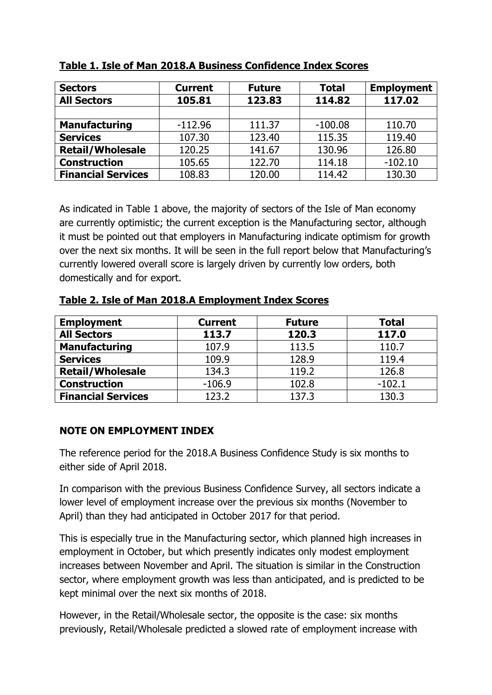| <b>Sectors</b>            | <b>Current</b> | <b>Future</b> | <b>Total</b> | <b>Employment</b> |
|---------------------------|----------------|---------------|--------------|-------------------|
| <b>All Sectors</b>        | 105.81         | 123.83        | 114.82       | 117.02            |
|                           |                |               |              |                   |
| <b>Manufacturing</b>      | $-112.96$      | 111.37        | $-100.08$    | 110.70            |
| <b>Services</b>           | 107.30         | 123.40        | 115.35       | 119.40            |
| <b>Retail/Wholesale</b>   | 120.25         | 141.67        | 130.96       | 126.80            |
| <b>Construction</b>       | 105.65         | 122.70        | 114.18       | $-102.10$         |
| <b>Financial Services</b> | 108.83         | 120.00        | 114.42       | 130.30            |

#### **Table 1. Isle of Man 2018.A Business Confidence Index Scores**

As indicated in Table 1 above, the majority of sectors of the Isle of Man economy are currently optimistic; the current exception is the Manufacturing sector, although it must be pointed out that employers in Manufacturing indicate optimism for growth over the next six months. It will be seen in the full report below that Manufacturing's currently lowered overall score is largely driven by currently low orders, both domestically and for export.

#### **Table 2. Isle of Man 2018.A Employment Index Scores**

| <b>Employment</b>         | <b>Current</b> | <b>Future</b> | <b>Total</b> |
|---------------------------|----------------|---------------|--------------|
| <b>All Sectors</b>        | 113.7          | 120.3         | 117.0        |
| <b>Manufacturing</b>      | 107.9          | 113.5         | 110.7        |
| <b>Services</b>           | 109.9          | 128.9         | 119.4        |
| <b>Retail/Wholesale</b>   | 134.3          | 119.2         | 126.8        |
| <b>Construction</b>       | $-106.9$       | 102.8         | $-102.1$     |
| <b>Financial Services</b> | 123.2          | 137.3         | 130.3        |

#### **NOTE ON EMPLOYMENT INDEX**

The reference period for the 2018.A Business Confidence Study is six months to either side of April 2018.

In comparison with the previous Business Confidence Survey, all sectors indicate a lower level of employment increase over the previous six months (November to April) than they had anticipated in October 2017 for that period.

This is especially true in the Manufacturing sector, which planned high increases in employment in October, but which presently indicates only modest employment increases between November and April. The situation is similar in the Construction sector, where employment growth was less than anticipated, and is predicted to be kept minimal over the next six months of 2018.

However, in the Retail/Wholesale sector, the opposite is the case: six months previously, Retail/Wholesale predicted a slowed rate of employment increase with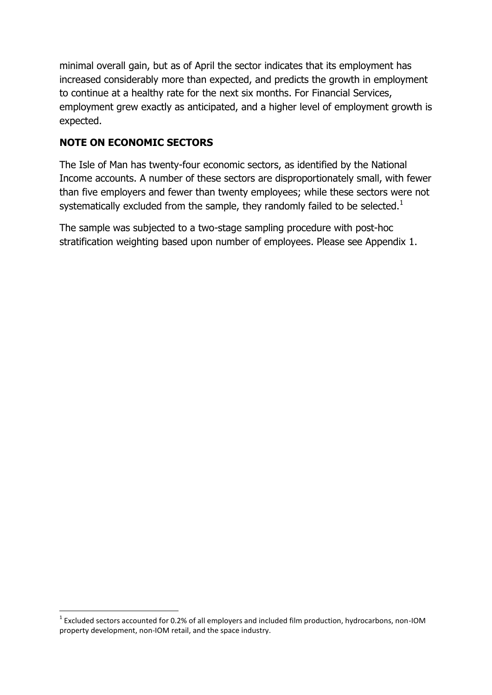minimal overall gain, but as of April the sector indicates that its employment has increased considerably more than expected, and predicts the growth in employment to continue at a healthy rate for the next six months. For Financial Services, employment grew exactly as anticipated, and a higher level of employment growth is expected.

## **NOTE ON ECONOMIC SECTORS**

The Isle of Man has twenty-four economic sectors, as identified by the National Income accounts. A number of these sectors are disproportionately small, with fewer than five employers and fewer than twenty employees; while these sectors were not systematically excluded from the sample, they randomly failed to be selected.<sup>1</sup>

The sample was subjected to a two-stage sampling procedure with post-hoc stratification weighting based upon number of employees. Please see Appendix 1.

**<sup>.</sup>**  $1$  Excluded sectors accounted for 0.2% of all employers and included film production, hydrocarbons, non-IOM property development, non-IOM retail, and the space industry.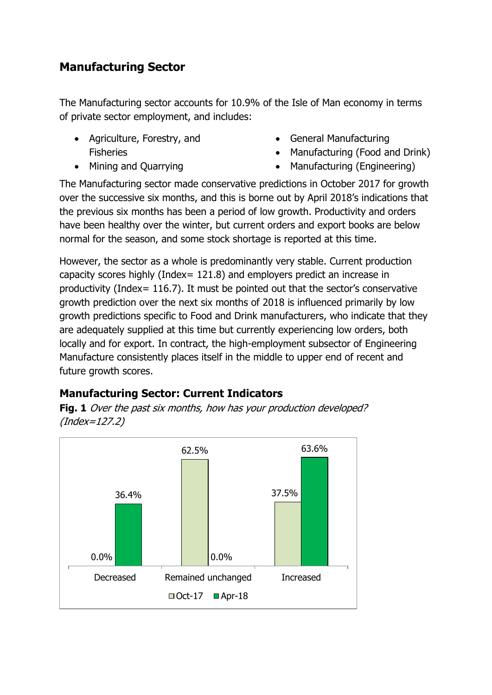# <span id="page-7-0"></span>**Manufacturing Sector**

The Manufacturing sector accounts for 10.9% of the Isle of Man economy in terms of private sector employment, and includes:

- Agriculture, Forestry, and Fisheries
- Mining and Quarrying
- General Manufacturing
- Manufacturing (Food and Drink)
- Manufacturing (Engineering)

The Manufacturing sector made conservative predictions in October 2017 for growth over the successive six months, and this is borne out by April 2018's indications that the previous six months has been a period of low growth. Productivity and orders have been healthy over the winter, but current orders and export books are below normal for the season, and some stock shortage is reported at this time.

However, the sector as a whole is predominantly very stable. Current production capacity scores highly (Index= 121.8) and employers predict an increase in productivity (Index= 116.7). It must be pointed out that the sector's conservative growth prediction over the next six months of 2018 is influenced primarily by low growth predictions specific to Food and Drink manufacturers, who indicate that they are adequately supplied at this time but currently experiencing low orders, both locally and for export. In contract, the high-employment subsector of Engineering Manufacture consistently places itself in the middle to upper end of recent and future growth scores.

## <span id="page-7-1"></span>**Manufacturing Sector: Current Indicators**

**Fig. 1** Over the past six months, how has your production developed? (Index=127.2)

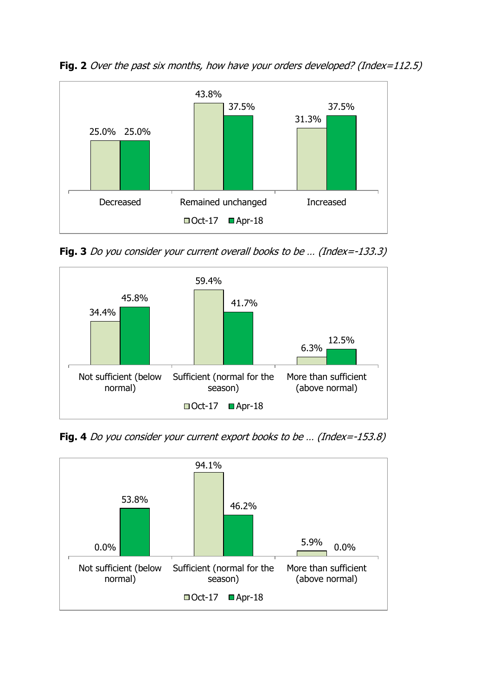Fig. 2 Over the past six months, how have your orders developed? (Index=112.5)



**Fig. 3** Do you consider your current overall books to be … (Index=-133.3)



**Fig. 4** Do you consider your current export books to be ... (Index=-153.8)

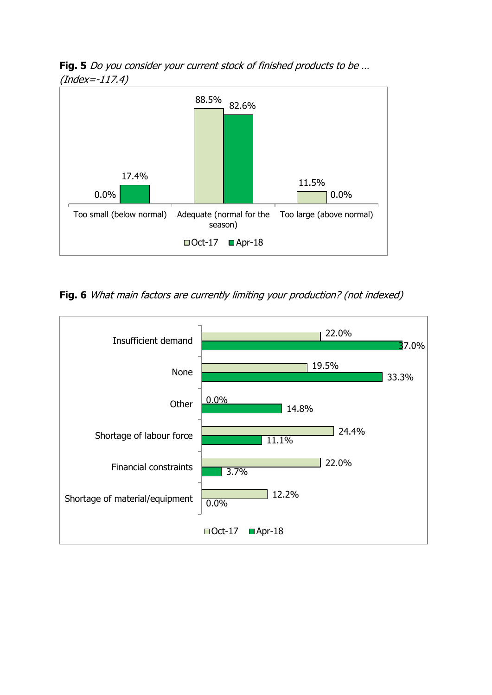**Fig. 5** Do you consider your current stock of finished products to be … (Index=-117.4)



**Fig. 6** What main factors are currently limiting your production? (not indexed)

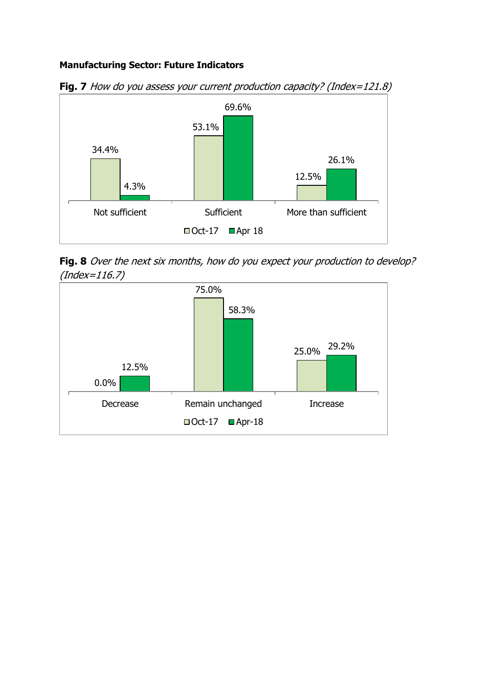#### **Manufacturing Sector: Future Indicators**



**Fig. 7** How do you assess your current production capacity? (Index=121.8)

Fig. 8 Over the next six months, how do you expect your production to develop? (Index=116.7)

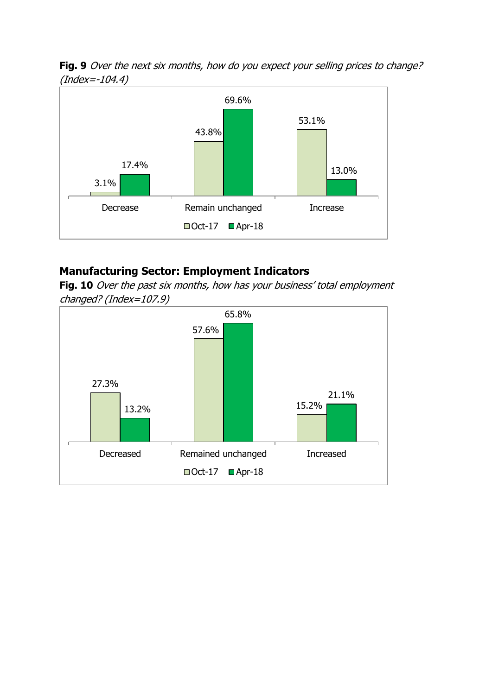Fig. 9 Over the next six months, how do you expect your selling prices to change? (Index=-104.4)



### <span id="page-11-0"></span>**Manufacturing Sector: Employment Indicators**

**Fig. 10** Over the past six months, how has your business' total employment changed? (Index=107.9)

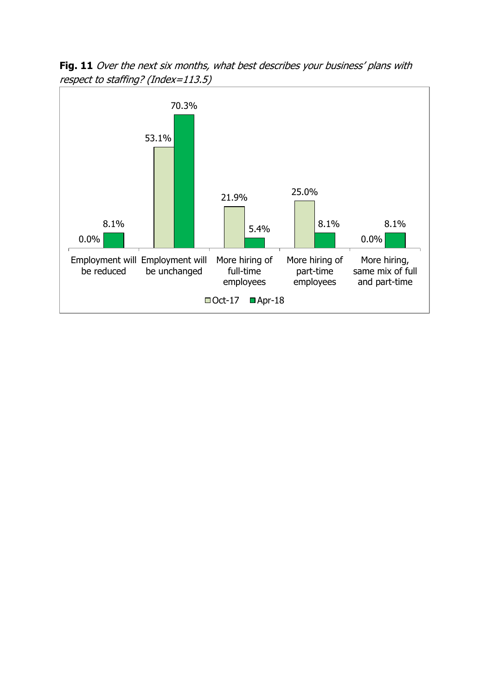Fig. 11 Over the next six months, what best describes your business' plans with respect to staffing? (Index=113.5)

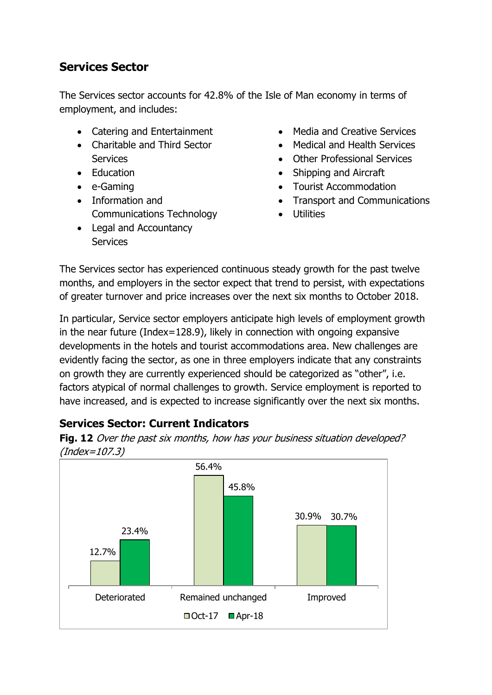## <span id="page-13-0"></span>**Services Sector**

The Services sector accounts for 42.8% of the Isle of Man economy in terms of employment, and includes:

- Catering and Entertainment
- Charitable and Third Sector **Services**
- Education
- e-Gaming
- Information and Communications Technology
- Legal and Accountancy **Services**
- Media and Creative Services
- Medical and Health Services
- Other Professional Services
- Shipping and Aircraft
- Tourist Accommodation
- Transport and Communications
- Utilities

The Services sector has experienced continuous steady growth for the past twelve months, and employers in the sector expect that trend to persist, with expectations of greater turnover and price increases over the next six months to October 2018.

In particular, Service sector employers anticipate high levels of employment growth in the near future (Index=128.9), likely in connection with ongoing expansive developments in the hotels and tourist accommodations area. New challenges are evidently facing the sector, as one in three employers indicate that any constraints on growth they are currently experienced should be categorized as "other", i.e. factors atypical of normal challenges to growth. Service employment is reported to have increased, and is expected to increase significantly over the next six months.

## <span id="page-13-1"></span>**Services Sector: Current Indicators**



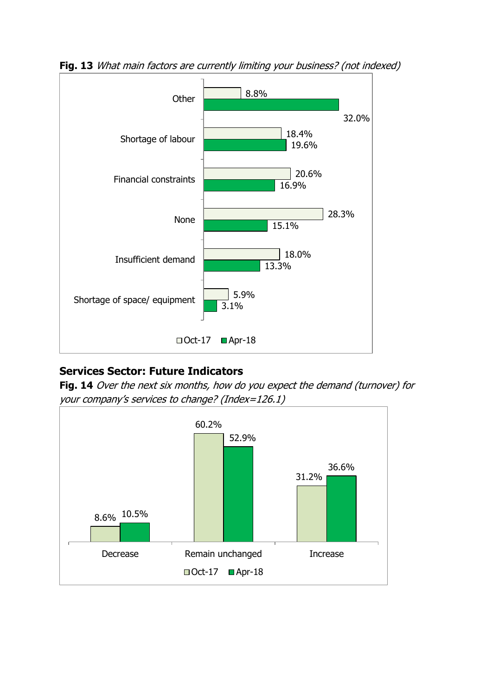

**Fig. 13** What main factors are currently limiting your business? (not indexed)

## <span id="page-14-0"></span>**Services Sector: Future Indicators**

Fig. 14 Over the next six months, how do you expect the demand (turnover) for your company's services to change? (Index=126.1)

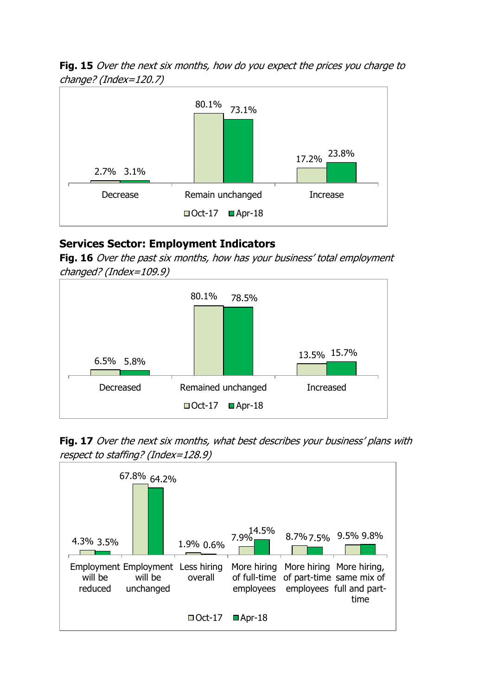**Fig. 15** Over the next six months, how do you expect the prices you charge to change? (Index=120.7)



### <span id="page-15-0"></span>**Services Sector: Employment Indicators**

**Fig. 16** Over the past six months, how has your business' total employment changed? (Index=109.9)



**Fig. 17** Over the next six months, what best describes your business' plans with respect to staffing? (Index=128.9)

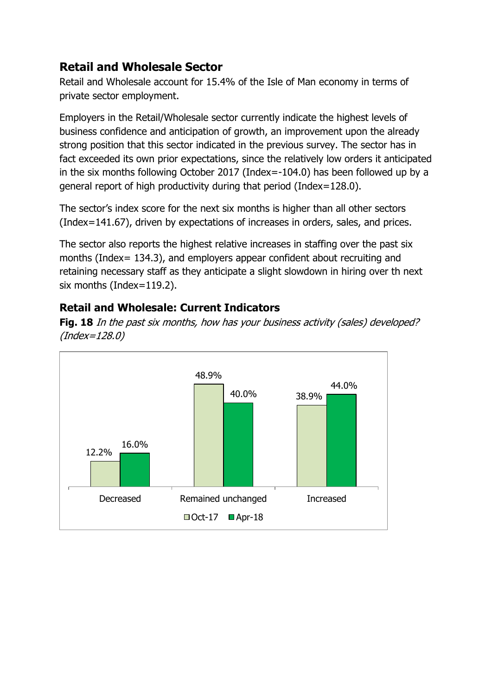## <span id="page-16-0"></span>**Retail and Wholesale Sector**

Retail and Wholesale account for 15.4% of the Isle of Man economy in terms of private sector employment.

Employers in the Retail/Wholesale sector currently indicate the highest levels of business confidence and anticipation of growth, an improvement upon the already strong position that this sector indicated in the previous survey. The sector has in fact exceeded its own prior expectations, since the relatively low orders it anticipated in the six months following October 2017 (Index=-104.0) has been followed up by a general report of high productivity during that period (Index=128.0).

The sector's index score for the next six months is higher than all other sectors (Index=141.67), driven by expectations of increases in orders, sales, and prices.

The sector also reports the highest relative increases in staffing over the past six months (Index= 134.3), and employers appear confident about recruiting and retaining necessary staff as they anticipate a slight slowdown in hiring over th next six months (Index=119.2).

## <span id="page-16-1"></span>**Retail and Wholesale: Current Indicators**

**Fig. 18** In the past six months, how has your business activity (sales) developed? (Index=128.0)

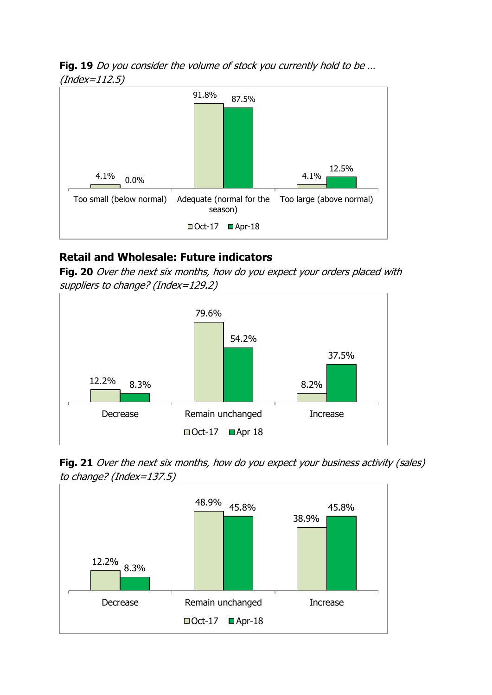**Fig. 19** Do you consider the volume of stock you currently hold to be … (Index=112.5)



## <span id="page-17-0"></span>**Retail and Wholesale: Future indicators**

**Fig. 20** Over the next six months, how do you expect your orders placed with suppliers to change? (Index=129.2)



**Fig. 21** Over the next six months, how do you expect your business activity (sales) to change? (Index=137.5)

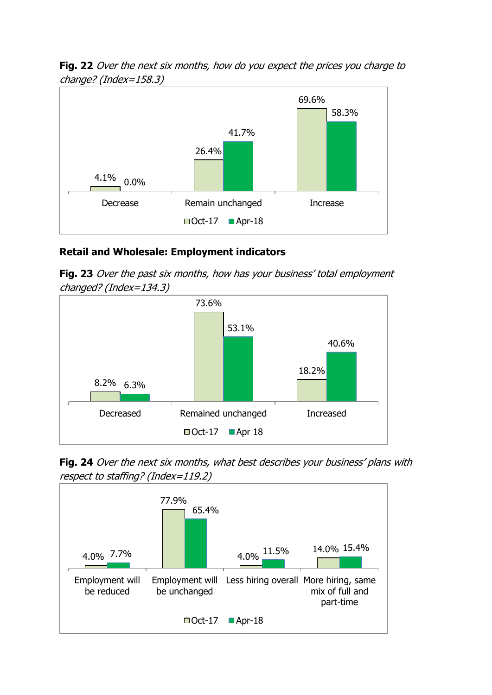**Fig. 22** Over the next six months, how do you expect the prices you charge to change? (Index=158.3)



#### **Retail and Wholesale: Employment indicators**

**Fig. 23** Over the past six months, how has your business' total employment changed? (Index=134.3)



**Fig. 24** Over the next six months, what best describes your business' plans with respect to staffing? (Index=119.2)

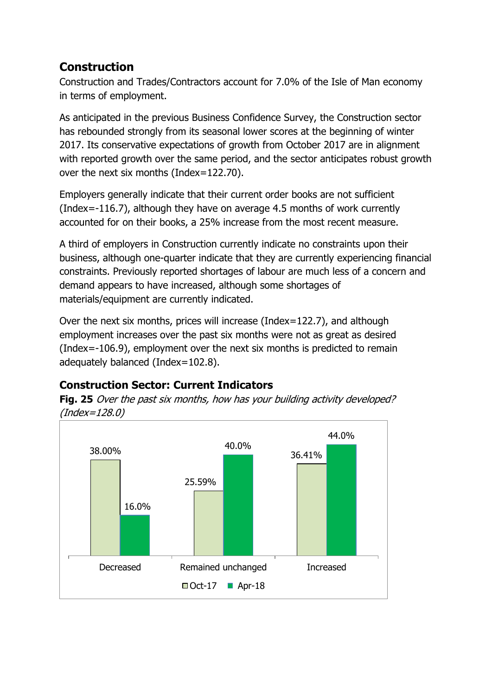# <span id="page-19-0"></span>**Construction**

Construction and Trades/Contractors account for 7.0% of the Isle of Man economy in terms of employment.

As anticipated in the previous Business Confidence Survey, the Construction sector has rebounded strongly from its seasonal lower scores at the beginning of winter 2017. Its conservative expectations of growth from October 2017 are in alignment with reported growth over the same period, and the sector anticipates robust growth over the next six months (Index=122.70).

Employers generally indicate that their current order books are not sufficient (Index=-116.7), although they have on average 4.5 months of work currently accounted for on their books, a 25% increase from the most recent measure.

A third of employers in Construction currently indicate no constraints upon their business, although one-quarter indicate that they are currently experiencing financial constraints. Previously reported shortages of labour are much less of a concern and demand appears to have increased, although some shortages of materials/equipment are currently indicated.

Over the next six months, prices will increase (Index=122.7), and although employment increases over the past six months were not as great as desired (Index=-106.9), employment over the next six months is predicted to remain adequately balanced (Index=102.8).

## <span id="page-19-1"></span>**Construction Sector: Current Indicators**

**Fig. 25** Over the past six months, how has your building activity developed? (Index=128.0)

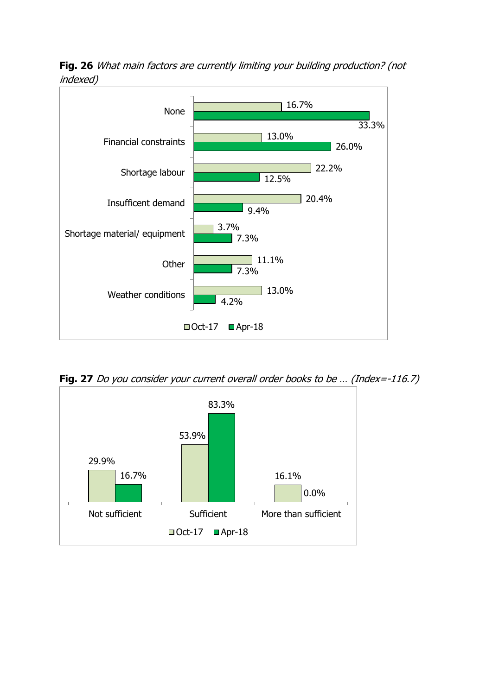

**Fig. 26** What main factors are currently limiting your building production? (not indexed)

**Fig. 27** Do you consider your current overall order books to be ... (Index=-116.7)

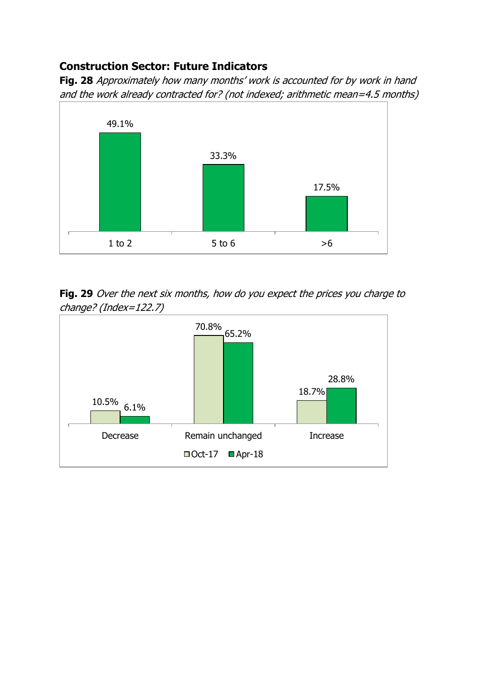## <span id="page-21-0"></span>**Construction Sector: Future Indicators**

**Fig. 28** Approximately how many months' work is accounted for by work in hand and the work already contracted for? (not indexed; arithmetic mean=4.5 months)



**Fig. 29** Over the next six months, how do you expect the prices you charge to change? (Index=122.7)

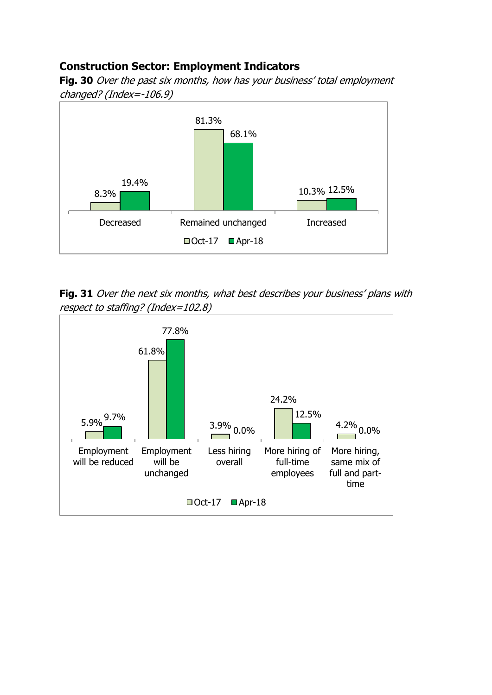## <span id="page-22-0"></span>**Construction Sector: Employment Indicators**

**Fig. 30** Over the past six months, how has your business' total employment changed? (Index=-106.9)



**Fig. 31** Over the next six months, what best describes your business' plans with respect to staffing? (Index=102.8)

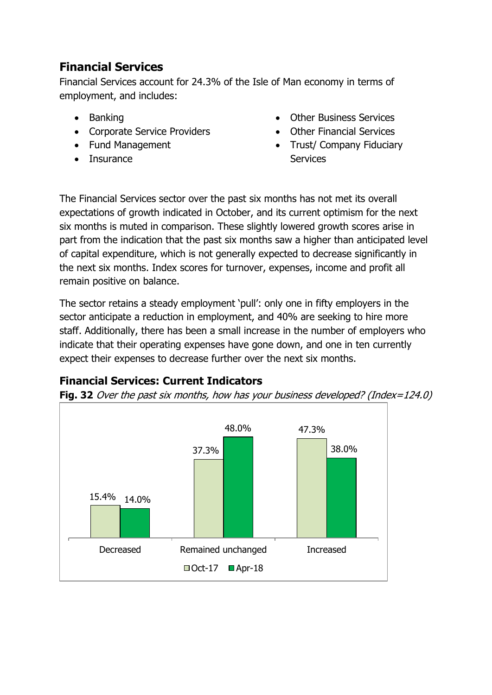## <span id="page-23-0"></span>**Financial Services**

Financial Services account for 24.3% of the Isle of Man economy in terms of employment, and includes:

- Banking
- Corporate Service Providers
- Fund Management
- Insurance
- Other Business Services
- Other Financial Services
- Trust/ Company Fiduciary Services

The Financial Services sector over the past six months has not met its overall expectations of growth indicated in October, and its current optimism for the next six months is muted in comparison. These slightly lowered growth scores arise in part from the indication that the past six months saw a higher than anticipated level of capital expenditure, which is not generally expected to decrease significantly in the next six months. Index scores for turnover, expenses, income and profit all remain positive on balance.

The sector retains a steady employment 'pull': only one in fifty employers in the sector anticipate a reduction in employment, and 40% are seeking to hire more staff. Additionally, there has been a small increase in the number of employers who indicate that their operating expenses have gone down, and one in ten currently expect their expenses to decrease further over the next six months.

## <span id="page-23-1"></span>**Financial Services: Current Indicators**

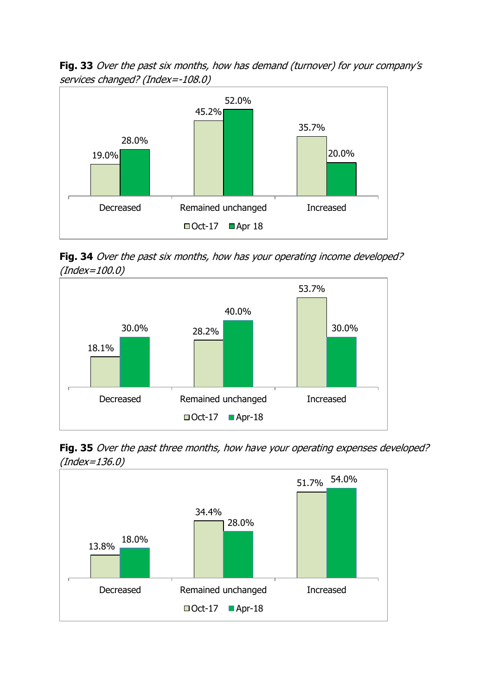**Fig. 33** Over the past six months, how has demand (turnover) for your company's services changed? (Index=-108.0)



**Fig. 34** Over the past six months, how has your operating income developed? (Index=100.0)



**Fig. 35** Over the past three months, how have your operating expenses developed? (Index=136.0)

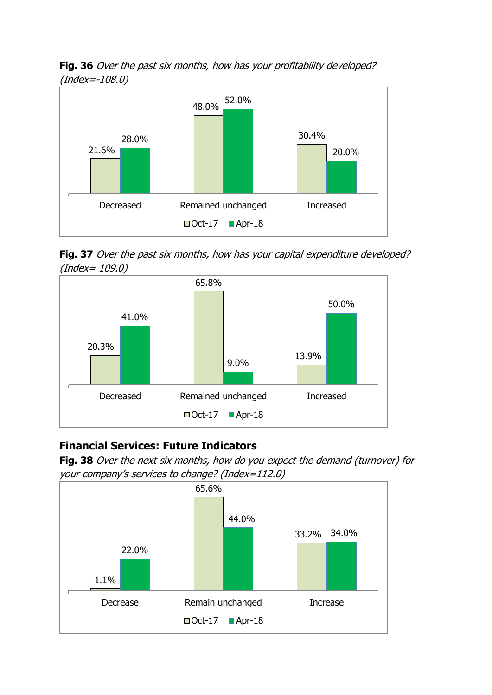**Fig. 36** Over the past six months, how has your profitability developed? (Index=-108.0)



Fig. 37 Over the past six months, how has your capital expenditure developed? (Index= 109.0)



#### <span id="page-25-0"></span>**Financial Services: Future Indicators**

**Fig. 38** Over the next six months, how do you expect the demand (turnover) for your company's services to change? (Index=112.0)

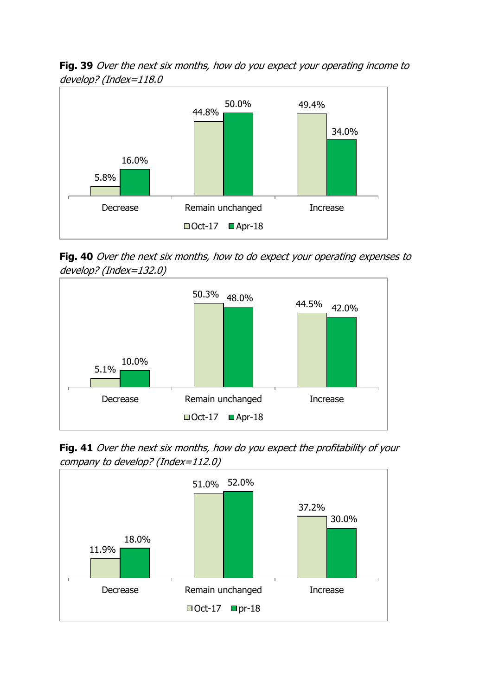**Fig. 39** Over the next six months, how do you expect your operating income to develop? (Index=118.0



**Fig. 40** Over the next six months, how to do expect your operating expenses to develop? (Index=132.0)



Fig. 41 Over the next six months, how do you expect the profitability of your company to develop? (Index=112.0)

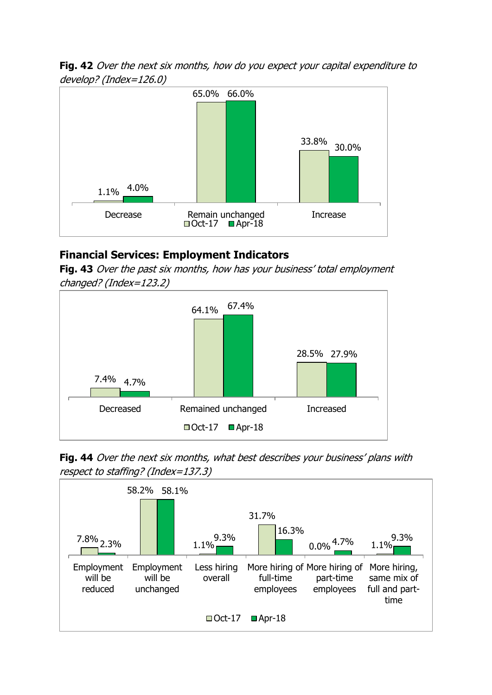**Fig. 42** Over the next six months, how do you expect your capital expenditure to develop? (Index=126.0)



## <span id="page-27-0"></span>**Financial Services: Employment Indicators**

**Fig. 43** Over the past six months, how has your business' total employment changed? (Index=123.2)



Fig. 44 Over the next six months, what best describes your business' plans with respect to staffing? (Index=137.3)

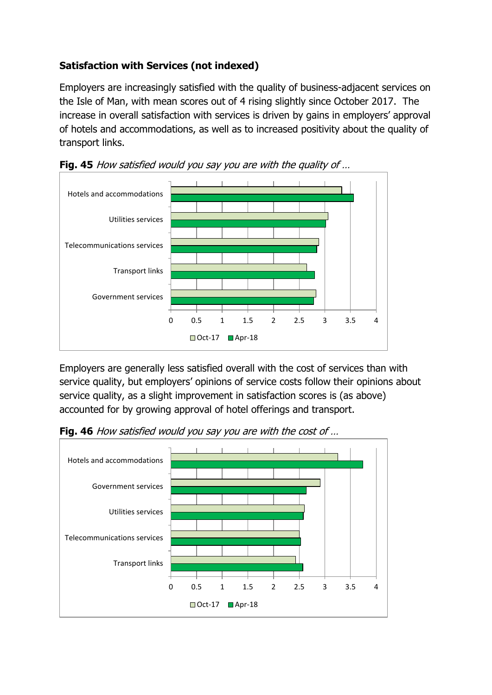## **Satisfaction with Services (not indexed)**

Employers are increasingly satisfied with the quality of business-adjacent services on the Isle of Man, with mean scores out of 4 rising slightly since October 2017. The increase in overall satisfaction with services is driven by gains in employers' approval of hotels and accommodations, as well as to increased positivity about the quality of transport links.





Employers are generally less satisfied overall with the cost of services than with service quality, but employers' opinions of service costs follow their opinions about service quality, as a slight improvement in satisfaction scores is (as above) accounted for by growing approval of hotel offerings and transport.

**Fig. 46** How satisfied would you say you are with the cost of …

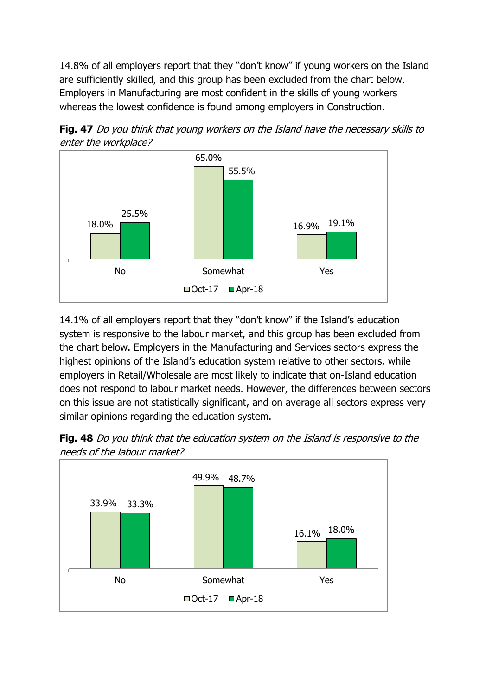14.8% of all employers report that they "don't know" if young workers on the Island are sufficiently skilled, and this group has been excluded from the chart below. Employers in Manufacturing are most confident in the skills of young workers whereas the lowest confidence is found among employers in Construction.



**Fig. 47** Do you think that young workers on the Island have the necessary skills to enter the workplace?

14.1% of all employers report that they "don't know" if the Island's education system is responsive to the labour market, and this group has been excluded from the chart below. Employers in the Manufacturing and Services sectors express the highest opinions of the Island's education system relative to other sectors, while employers in Retail/Wholesale are most likely to indicate that on-Island education does not respond to labour market needs. However, the differences between sectors on this issue are not statistically significant, and on average all sectors express very similar opinions regarding the education system.



**Fig. 48** Do you think that the education system on the Island is responsive to the needs of the labour market?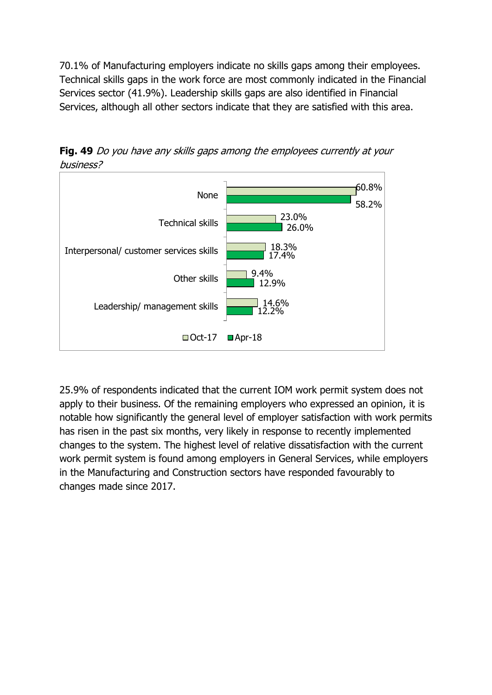70.1% of Manufacturing employers indicate no skills gaps among their employees. Technical skills gaps in the work force are most commonly indicated in the Financial Services sector (41.9%). Leadership skills gaps are also identified in Financial Services, although all other sectors indicate that they are satisfied with this area.

**Fig. 49** Do you have any skills gaps among the employees currently at your business?



25.9% of respondents indicated that the current IOM work permit system does not apply to their business. Of the remaining employers who expressed an opinion, it is notable how significantly the general level of employer satisfaction with work permits has risen in the past six months, very likely in response to recently implemented changes to the system. The highest level of relative dissatisfaction with the current work permit system is found among employers in General Services, while employers in the Manufacturing and Construction sectors have responded favourably to changes made since 2017.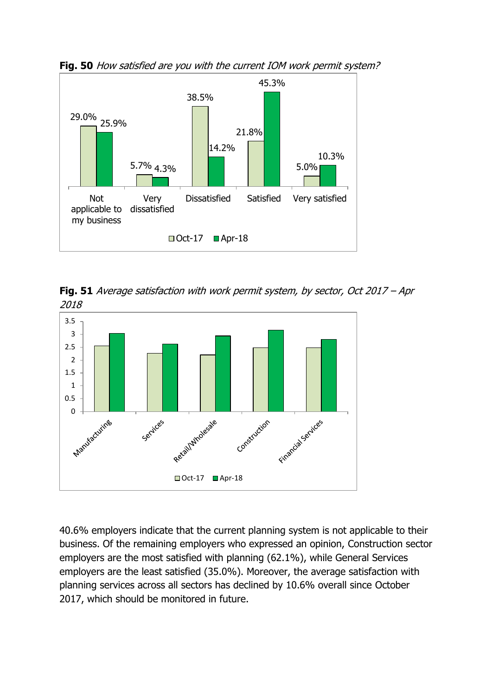

**Fig. 50** How satisfied are you with the current IOM work permit system?

**Fig. 51** Average satisfaction with work permit system, by sector, Oct 2017 – Apr 2018



40.6% employers indicate that the current planning system is not applicable to their business. Of the remaining employers who expressed an opinion, Construction sector employers are the most satisfied with planning (62.1%), while General Services employers are the least satisfied (35.0%). Moreover, the average satisfaction with planning services across all sectors has declined by 10.6% overall since October 2017, which should be monitored in future.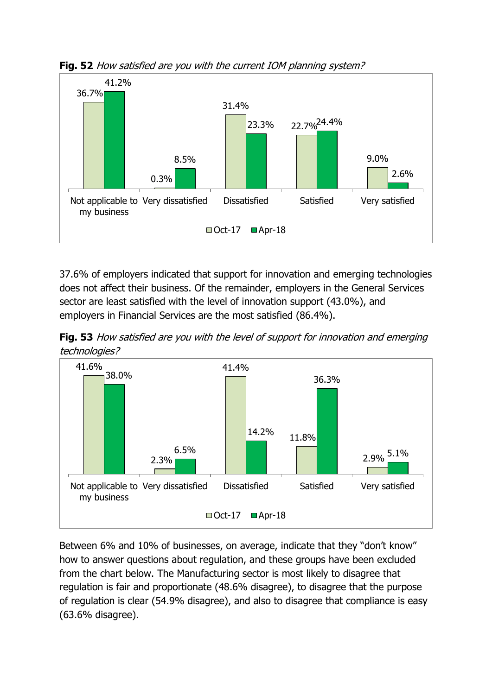

**Fig. 52** How satisfied are you with the current IOM planning system?

37.6% of employers indicated that support for innovation and emerging technologies does not affect their business. Of the remainder, employers in the General Services sector are least satisfied with the level of innovation support (43.0%), and employers in Financial Services are the most satisfied (86.4%).

**Fig. 53** How satisfied are you with the level of support for innovation and emerging technologies?



Between 6% and 10% of businesses, on average, indicate that they "don't know" how to answer questions about regulation, and these groups have been excluded from the chart below. The Manufacturing sector is most likely to disagree that regulation is fair and proportionate (48.6% disagree), to disagree that the purpose of regulation is clear (54.9% disagree), and also to disagree that compliance is easy (63.6% disagree).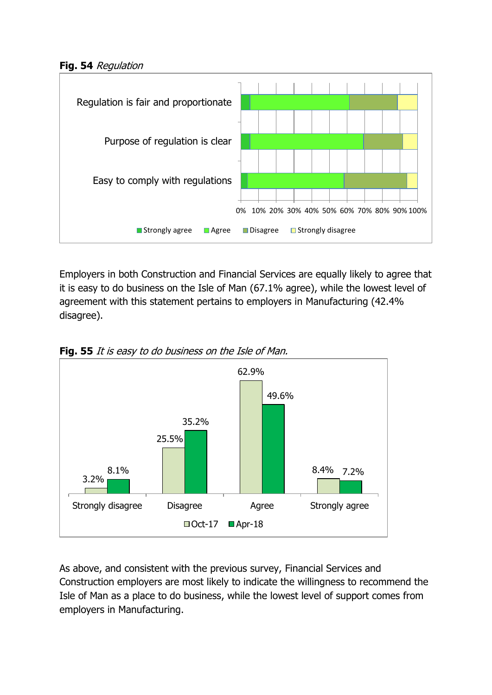**Fig. 54** Regulation



Employers in both Construction and Financial Services are equally likely to agree that it is easy to do business on the Isle of Man (67.1% agree), while the lowest level of agreement with this statement pertains to employers in Manufacturing (42.4% disagree).



**Fig. 55** It is easy to do business on the Isle of Man.

As above, and consistent with the previous survey, Financial Services and Construction employers are most likely to indicate the willingness to recommend the Isle of Man as a place to do business, while the lowest level of support comes from employers in Manufacturing.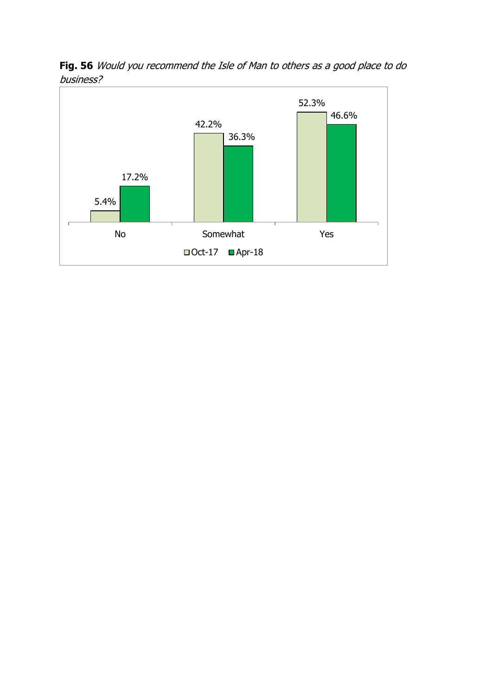

**Fig. 56** Would you recommend the Isle of Man to others as a good place to do business?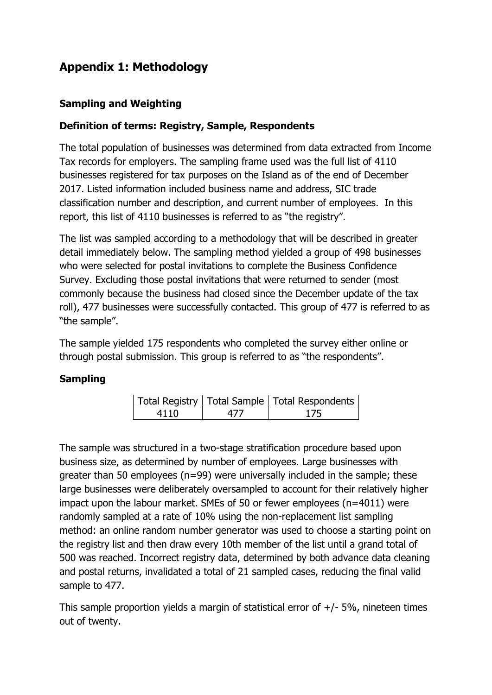# <span id="page-35-0"></span>**Appendix 1: Methodology**

#### **Sampling and Weighting**

#### **Definition of terms: Registry, Sample, Respondents**

The total population of businesses was determined from data extracted from Income Tax records for employers. The sampling frame used was the full list of 4110 businesses registered for tax purposes on the Island as of the end of December 2017. Listed information included business name and address, SIC trade classification number and description, and current number of employees. In this report, this list of 4110 businesses is referred to as "the registry".

The list was sampled according to a methodology that will be described in greater detail immediately below. The sampling method yielded a group of 498 businesses who were selected for postal invitations to complete the Business Confidence Survey. Excluding those postal invitations that were returned to sender (most commonly because the business had closed since the December update of the tax roll), 477 businesses were successfully contacted. This group of 477 is referred to as "the sample".

The sample yielded 175 respondents who completed the survey either online or through postal submission. This group is referred to as "the respondents".

#### **Sampling**

|      | Total Registry   Total Sample   Total Respondents |
|------|---------------------------------------------------|
| 4110 | 175                                               |

The sample was structured in a two-stage stratification procedure based upon business size, as determined by number of employees. Large businesses with greater than 50 employees (n=99) were universally included in the sample; these large businesses were deliberately oversampled to account for their relatively higher impact upon the labour market. SMEs of 50 or fewer employees (n=4011) were randomly sampled at a rate of 10% using the non-replacement list sampling method: an online random number generator was used to choose a starting point on the registry list and then draw every 10th member of the list until a grand total of 500 was reached. Incorrect registry data, determined by both advance data cleaning and postal returns, invalidated a total of 21 sampled cases, reducing the final valid sample to 477.

This sample proportion yields a margin of statistical error of  $+/-5%$ , nineteen times out of twenty.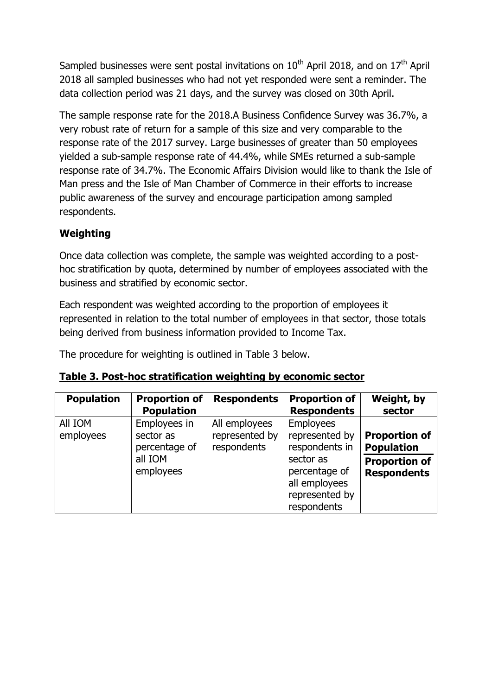Sampled businesses were sent postal invitations on  $10^{\text{th}}$  April 2018, and on  $17^{\text{th}}$  April 2018 all sampled businesses who had not yet responded were sent a reminder. The data collection period was 21 days, and the survey was closed on 30th April.

The sample response rate for the 2018.A Business Confidence Survey was 36.7%, a very robust rate of return for a sample of this size and very comparable to the response rate of the 2017 survey. Large businesses of greater than 50 employees yielded a sub-sample response rate of 44.4%, while SMEs returned a sub-sample response rate of 34.7%. The Economic Affairs Division would like to thank the Isle of Man press and the Isle of Man Chamber of Commerce in their efforts to increase public awareness of the survey and encourage participation among sampled respondents.

#### **Weighting**

Once data collection was complete, the sample was weighted according to a posthoc stratification by quota, determined by number of employees associated with the business and stratified by economic sector.

Each respondent was weighted according to the proportion of employees it represented in relation to the total number of employees in that sector, those totals being derived from business information provided to Income Tax.

The procedure for weighting is outlined in Table 3 below.

| <b>Population</b>    | <b>Proportion of</b><br><b>Population</b>                          | <b>Respondents</b>                             | <b>Proportion of</b><br><b>Respondents</b>                                                                                           | Weight, by<br>sector                                                                    |
|----------------------|--------------------------------------------------------------------|------------------------------------------------|--------------------------------------------------------------------------------------------------------------------------------------|-----------------------------------------------------------------------------------------|
| All IOM<br>employees | Employees in<br>sector as<br>percentage of<br>all IOM<br>employees | All employees<br>represented by<br>respondents | <b>Employees</b><br>represented by<br>respondents in<br>sector as<br>percentage of<br>all employees<br>represented by<br>respondents | <b>Proportion of</b><br><b>Population</b><br><b>Proportion of</b><br><b>Respondents</b> |

|  | Table 3. Post-hoc stratification weighting by economic sector |  |
|--|---------------------------------------------------------------|--|
|--|---------------------------------------------------------------|--|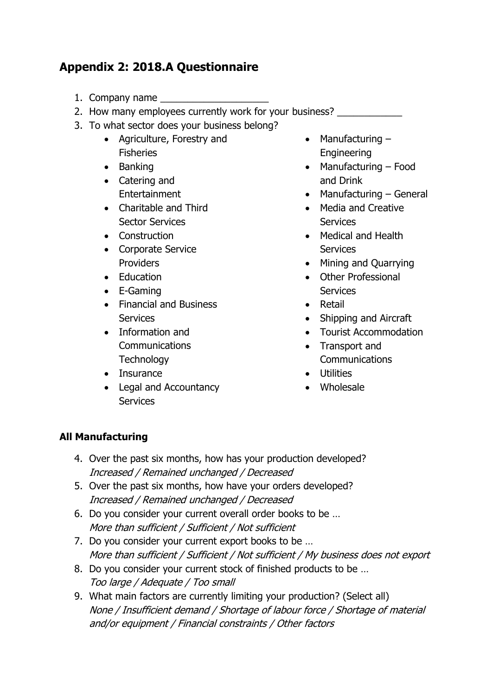# <span id="page-37-0"></span>**Appendix 2: 2018.A Questionnaire**

- 1. Company name
- 2. How many employees currently work for your business?
- 3. To what sector does your business belong?
	- Agriculture, Forestry and Fisheries
	- Banking
	- Catering and Entertainment
	- Charitable and Third Sector Services
	- Construction
	- Corporate Service **Providers**
	- Education
	- E-Gaming
	- Financial and Business **Services**
	- Information and **Communications Technology**
	- Insurance
	- Legal and Accountancy **Services**
- $\bullet$  Manufacturing  $-$ Engineering
- Manufacturing Food and Drink
- $\bullet$  Manufacturing General
- Media and Creative **Services**
- Medical and Health **Services**
- Mining and Quarrying
- Other Professional **Services**
- Retail
- Shipping and Aircraft
- Tourist Accommodation
- Transport and **Communications**
- **•** Utilities
- Wholesale

#### **All Manufacturing**

- 4. Over the past six months, how has your production developed? Increased / Remained unchanged / Decreased
- 5. Over the past six months, how have your orders developed? Increased / Remained unchanged / Decreased
- 6. Do you consider your current overall order books to be … More than sufficient / Sufficient / Not sufficient
- 7. Do you consider your current export books to be … More than sufficient / Sufficient / Not sufficient / My business does not export
- 8. Do you consider your current stock of finished products to be … Too large / Adequate / Too small
- 9. What main factors are currently limiting your production? (Select all) None / Insufficient demand / Shortage of labour force / Shortage of material and/or equipment / Financial constraints / Other factors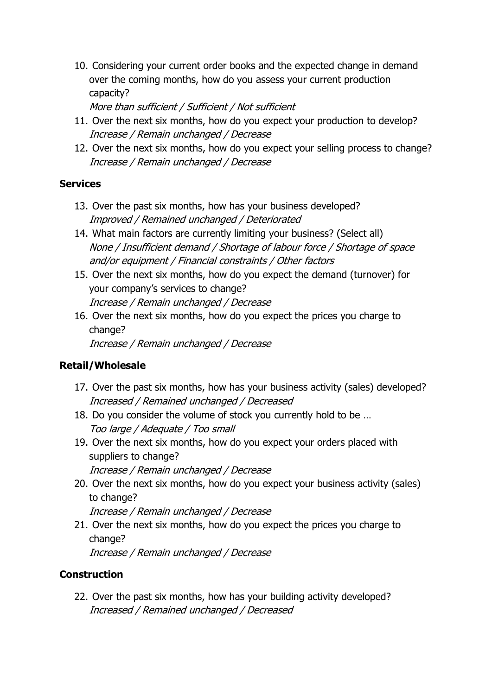10. Considering your current order books and the expected change in demand over the coming months, how do you assess your current production capacity?

More than sufficient / Sufficient / Not sufficient

- 11. Over the next six months, how do you expect your production to develop? Increase / Remain unchanged / Decrease
- 12. Over the next six months, how do you expect your selling process to change? Increase / Remain unchanged / Decrease

#### **Services**

- 13. Over the past six months, how has your business developed? Improved / Remained unchanged / Deteriorated
- 14. What main factors are currently limiting your business? (Select all) None / Insufficient demand / Shortage of labour force / Shortage of space and/or equipment / Financial constraints / Other factors
- 15. Over the next six months, how do you expect the demand (turnover) for your company's services to change? Increase / Remain unchanged / Decrease
- 16. Over the next six months, how do you expect the prices you charge to change?

Increase / Remain unchanged / Decrease

## **Retail/Wholesale**

- 17. Over the past six months, how has your business activity (sales) developed? Increased / Remained unchanged / Decreased
- 18. Do you consider the volume of stock you currently hold to be … Too large / Adequate / Too small
- 19. Over the next six months, how do you expect your orders placed with suppliers to change?

Increase / Remain unchanged / Decrease

20. Over the next six months, how do you expect your business activity (sales) to change?

Increase / Remain unchanged / Decrease

21. Over the next six months, how do you expect the prices you charge to change?

Increase / Remain unchanged / Decrease

## **Construction**

22. Over the past six months, how has your building activity developed? Increased / Remained unchanged / Decreased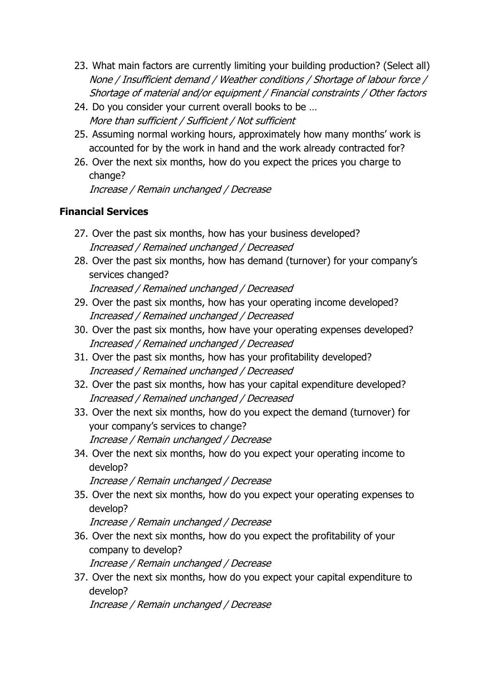- 23. What main factors are currently limiting your building production? (Select all) None / Insufficient demand / Weather conditions / Shortage of labour force / Shortage of material and/or equipment / Financial constraints / Other factors
- 24. Do you consider your current overall books to be … More than sufficient / Sufficient / Not sufficient
- 25. Assuming normal working hours, approximately how many months' work is accounted for by the work in hand and the work already contracted for?
- 26. Over the next six months, how do you expect the prices you charge to change?

Increase / Remain unchanged / Decrease

## **Financial Services**

- 27. Over the past six months, how has your business developed? Increased / Remained unchanged / Decreased
- 28. Over the past six months, how has demand (turnover) for your company's services changed?

Increased / Remained unchanged / Decreased

- 29. Over the past six months, how has your operating income developed? Increased / Remained unchanged / Decreased
- 30. Over the past six months, how have your operating expenses developed? Increased / Remained unchanged / Decreased
- 31. Over the past six months, how has your profitability developed? Increased / Remained unchanged / Decreased
- 32. Over the past six months, how has your capital expenditure developed? Increased / Remained unchanged / Decreased
- 33. Over the next six months, how do you expect the demand (turnover) for your company's services to change? Increase / Remain unchanged / Decrease
- 34. Over the next six months, how do you expect your operating income to develop?

Increase / Remain unchanged / Decrease

35. Over the next six months, how do you expect your operating expenses to develop?

Increase / Remain unchanged / Decrease

- 36. Over the next six months, how do you expect the profitability of your company to develop? Increase / Remain unchanged / Decrease
- 37. Over the next six months, how do you expect your capital expenditure to develop?

Increase / Remain unchanged / Decrease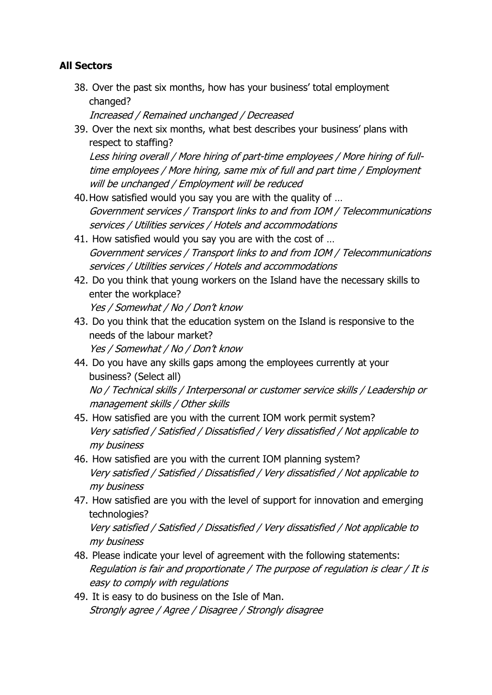### **All Sectors**

38. Over the past six months, how has your business' total employment changed?

Increased / Remained unchanged / Decreased

39. Over the next six months, what best describes your business' plans with respect to staffing?

Less hiring overall / More hiring of part-time employees / More hiring of fulltime employees / More hiring, same mix of full and part time / Employment will be unchanged / Employment will be reduced

- 40.How satisfied would you say you are with the quality of … Government services / Transport links to and from IOM / Telecommunications services / Utilities services / Hotels and accommodations
- 41. How satisfied would you say you are with the cost of … Government services / Transport links to and from IOM / Telecommunications services / Utilities services / Hotels and accommodations
- 42. Do you think that young workers on the Island have the necessary skills to enter the workplace?

Yes / Somewhat / No / Don't know

- 43. Do you think that the education system on the Island is responsive to the needs of the labour market? Yes / Somewhat / No / Don't know
- 44. Do you have any skills gaps among the employees currently at your business? (Select all) No / Technical skills / Interpersonal or customer service skills / Leadership or

management skills / Other skills

- 45. How satisfied are you with the current IOM work permit system? Very satisfied / Satisfied / Dissatisfied / Very dissatisfied / Not applicable to my business
- 46. How satisfied are you with the current IOM planning system? Very satisfied / Satisfied / Dissatisfied / Very dissatisfied / Not applicable to my business
- 47. How satisfied are you with the level of support for innovation and emerging technologies?

Very satisfied / Satisfied / Dissatisfied / Very dissatisfied / Not applicable to my business

- 48. Please indicate your level of agreement with the following statements: Regulation is fair and proportionate / The purpose of regulation is clear / It is easy to comply with regulations
- 49. It is easy to do business on the Isle of Man. Strongly agree / Agree / Disagree / Strongly disagree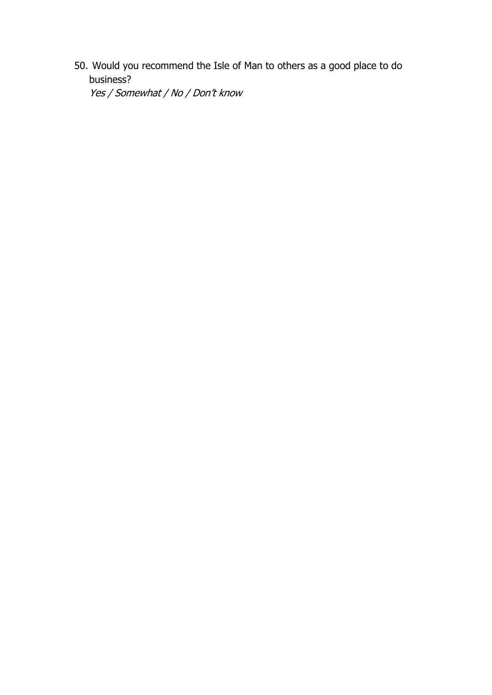50. Would you recommend the Isle of Man to others as a good place to do business? Yes / Somewhat / No / Don't know